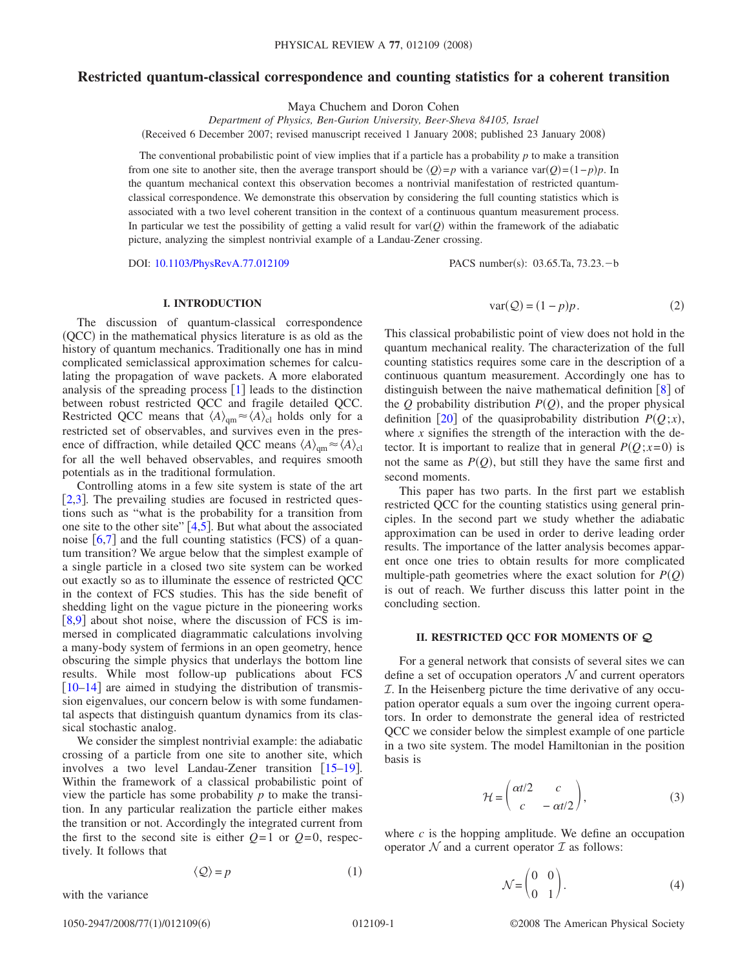## **Restricted quantum-classical correspondence and counting statistics for a coherent transition**

Maya Chuchem and Doron Cohen

*Department of Physics, Ben-Gurion University, Beer-Sheva 84105, Israel*

(Received 6 December 2007; revised manuscript received 1 January 2008; published 23 January 2008)

The conventional probabilistic point of view implies that if a particle has a probability  $p$  to make a transition from one site to another site, then the average transport should be  $\langle Q \rangle = p$  with a variance var $(Q) = (1-p)p$ . In the quantum mechanical context this observation becomes a nontrivial manifestation of restricted quantumclassical correspondence. We demonstrate this observation by considering the full counting statistics which is associated with a two level coherent transition in the context of a continuous quantum measurement process. In particular we test the possibility of getting a valid result for  $var(Q)$  within the framework of the adiabatic picture, analyzing the simplest nontrivial example of a Landau-Zener crossing.

DOI: [10.1103/PhysRevA.77.012109](http://dx.doi.org/10.1103/PhysRevA.77.012109)

PACS number(s): 03.65.Ta, 73.23. - b

### **I. INTRODUCTION**

The discussion of quantum-classical correspondence (QCC) in the mathematical physics literature is as old as the history of quantum mechanics. Traditionally one has in mind complicated semiclassical approximation schemes for calculating the propagation of wave packets. A more elaborated analysis of the spreading process  $[1]$  $[1]$  $[1]$  leads to the distinction between robust restricted QCC and fragile detailed QCC. Restricted QCC means that  $\langle A \rangle_{\text{qm}} \approx \langle A \rangle_{\text{cl}}$  holds only for a restricted set of observables, and survives even in the presence of diffraction, while detailed QCC means  $\langle A \rangle_{\text{qm}} \approx \langle A \rangle_{\text{cl}}$ for all the well behaved observables, and requires smooth potentials as in the traditional formulation.

Controlling atoms in a few site system is state of the art  $[2,3]$  $[2,3]$  $[2,3]$  $[2,3]$ . The prevailing studies are focused in restricted questions such as "what is the probability for a transition from one site to the other site"  $[4,5]$  $[4,5]$  $[4,5]$  $[4,5]$ . But what about the associated noise  $[6,7]$  $[6,7]$  $[6,7]$  $[6,7]$  and the full counting statistics (FCS) of a quantum transition? We argue below that the simplest example of a single particle in a closed two site system can be worked out exactly so as to illuminate the essence of restricted QCC in the context of FCS studies. This has the side benefit of shedding light on the vague picture in the pioneering works  $[8,9]$  $[8,9]$  $[8,9]$  $[8,9]$  about shot noise, where the discussion of FCS is immersed in complicated diagrammatic calculations involving a many-body system of fermions in an open geometry, hence obscuring the simple physics that underlays the bottom line results. While most follow-up publications about FCS  $[10-14]$  $[10-14]$  $[10-14]$  are aimed in studying the distribution of transmission eigenvalues, our concern below is with some fundamental aspects that distinguish quantum dynamics from its classical stochastic analog.

We consider the simplest nontrivial example: the adiabatic crossing of a particle from one site to another site, which involves a two level Landau-Zener transition  $[15-19]$  $[15-19]$  $[15-19]$ . Within the framework of a classical probabilistic point of view the particle has some probability *p* to make the transition. In any particular realization the particle either makes the transition or not. Accordingly the integrated current from the first to the second site is either  $Q=1$  or  $Q=0$ , respectively. It follows that

$$
\langle \mathcal{Q} \rangle = p \tag{1}
$$

<span id="page-0-0"></span>with the variance

$$
var(Q) = (1 - p)p.
$$
 (2)

<span id="page-0-1"></span>This classical probabilistic point of view does not hold in the quantum mechanical reality. The characterization of the full counting statistics requires some care in the description of a continuous quantum measurement. Accordingly one has to distinguish between the naive mathematical definition  $\begin{bmatrix} 8 \end{bmatrix}$  $\begin{bmatrix} 8 \end{bmatrix}$  $\begin{bmatrix} 8 \end{bmatrix}$  of the  $Q$  probability distribution  $P(Q)$ , and the proper physical definition [[20](#page-5-13)] of the quasiprobability distribution  $P(Q; x)$ , where  $x$  signifies the strength of the interaction with the detector. It is important to realize that in general  $P(Q; x=0)$  is not the same as  $P(Q)$ , but still they have the same first and second moments.

This paper has two parts. In the first part we establish restricted QCC for the counting statistics using general principles. In the second part we study whether the adiabatic approximation can be used in order to derive leading order results. The importance of the latter analysis becomes apparent once one tries to obtain results for more complicated multiple-path geometries where the exact solution for  $P(Q)$ is out of reach. We further discuss this latter point in the concluding section.

# **II. RESTRICTED QCC FOR MOMENTS OF** *Q*

For a general network that consists of several sites we can define a set of occupation operators  $\mathcal N$  and current operators  $I$ . In the Heisenberg picture the time derivative of any occupation operator equals a sum over the ingoing current operators. In order to demonstrate the general idea of restricted QCC we consider below the simplest example of one particle in a two site system. The model Hamiltonian in the position basis is

$$
\mathcal{H} = \begin{pmatrix} \alpha t/2 & c \\ c & -\alpha t/2 \end{pmatrix},\tag{3}
$$

<span id="page-0-2"></span>where  $c$  is the hopping amplitude. We define an occupation operator  $N$  and a current operator  $\mathcal I$  as follows:

$$
\mathcal{N} = \begin{pmatrix} 0 & 0 \\ 0 & 1 \end{pmatrix}.
$$
 (4)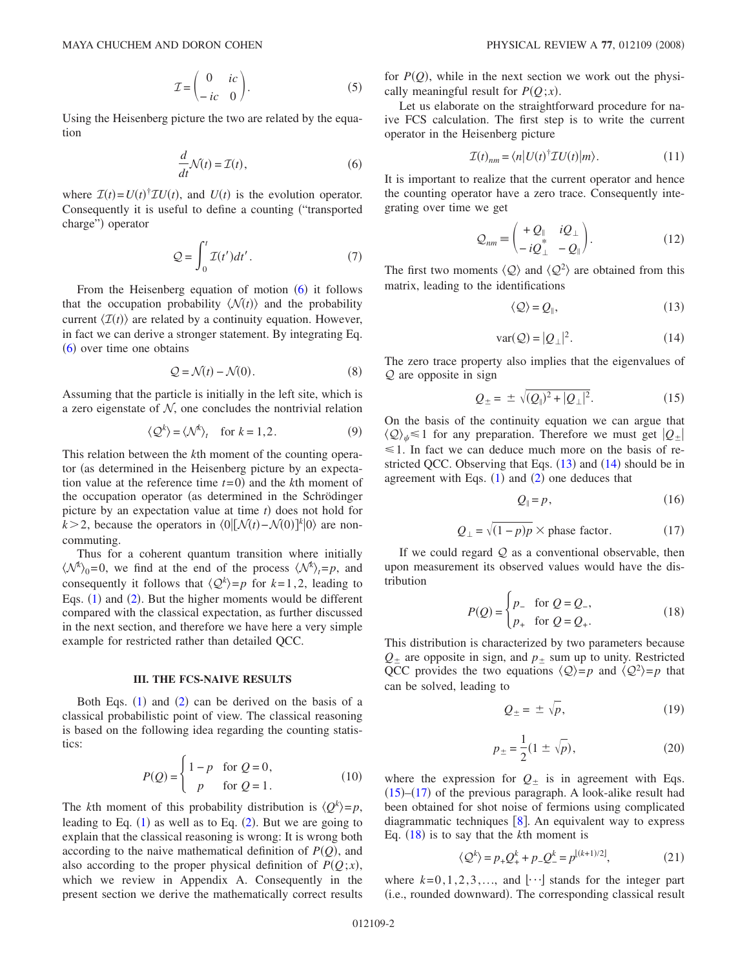$$
\mathcal{I} = \begin{pmatrix} 0 & ic \\ -ic & 0 \end{pmatrix}.
$$
 (5)

<span id="page-1-0"></span>Using the Heisenberg picture the two are related by the equation

$$
\frac{d}{dt}\mathcal{N}(t) = \mathcal{I}(t),\tag{6}
$$

where  $\mathcal{I}(t) = U(t)^{\dagger} \mathcal{I} U(t)$ , and  $U(t)$  is the evolution operator. Consequently it is useful to define a counting ("transported") charge") operator

$$
\mathcal{Q} = \int_0^t \mathcal{I}(t')dt'.
$$
 (7)

From the Heisenberg equation of motion ([6](#page-1-0)) it follows that the occupation probability  $\langle N(t) \rangle$  and the probability current  $\langle \mathcal{I}(t) \rangle$  are related by a continuity equation. However, in fact we can derive a stronger statement. By integrating Eq. ([6](#page-1-0)) over time one obtains

$$
Q = \mathcal{N}(t) - \mathcal{N}(0). \tag{8}
$$

Assuming that the particle is initially in the left site, which is a zero eigenstate of  $N$ , one concludes the nontrivial relation

$$
\langle \mathcal{Q}^k \rangle = \langle \mathcal{N}^k \rangle_t \quad \text{for } k = 1, 2. \tag{9}
$$

This relation between the *k*th moment of the counting operator (as determined in the Heisenberg picture by an expectation value at the reference time  $t=0$ ) and the *k*th moment of the occupation operator (as determined in the Schrödinger picture by an expectation value at time  $t$ ) does not hold for  $k > 2$ , because the operators in  $\langle 0 | [\mathcal{N}(t) - \mathcal{N}(0)]^k | 0 \rangle$  are noncommuting.

Thus for a coherent quantum transition where initially  $\langle \mathcal{N}^k \rangle_0 = 0$ , we find at the end of the process  $\langle \mathcal{N}^k \rangle_t = p$ , and consequently it follows that  $\langle Q^k \rangle = p$  for  $k = 1, 2$ , leading to Eqs.  $(1)$  $(1)$  $(1)$  and  $(2)$  $(2)$  $(2)$ . But the higher moments would be different compared with the classical expectation, as further discussed in the next section, and therefore we have here a very simple example for restricted rather than detailed QCC.

#### **III. THE FCS-NAIVE RESULTS**

Both Eqs.  $(1)$  $(1)$  $(1)$  and  $(2)$  $(2)$  $(2)$  can be derived on the basis of a classical probabilistic point of view. The classical reasoning is based on the following idea regarding the counting statistics:

$$
P(Q) = \begin{cases} 1 - p & \text{for } Q = 0, \\ p & \text{for } Q = 1. \end{cases}
$$
 (10)

The *k*th moment of this probability distribution is  $\langle Q^k \rangle = p$ , leading to Eq.  $(1)$  $(1)$  $(1)$  as well as to Eq.  $(2)$  $(2)$  $(2)$ . But we are going to explain that the classical reasoning is wrong: It is wrong both according to the naive mathematical definition of  $P(Q)$ , and also according to the proper physical definition of  $P(Q; x)$ , which we review in Appendix A. Consequently in the present section we derive the mathematically correct results for  $P(Q)$ , while in the next section we work out the physically meaningful result for  $P(Q; x)$ .

Let us elaborate on the straightforward procedure for naive FCS calculation. The first step is to write the current operator in the Heisenberg picture

$$
\mathcal{I}(t)_{nm} = \langle n | U(t)^{\dagger} \mathcal{I} U(t) | m \rangle. \tag{11}
$$

It is important to realize that the current operator and hence the counting operator have a zero trace. Consequently integrating over time we get

$$
Q_{nm} = \begin{pmatrix} +Q_{\parallel} & iQ_{\perp} \\ -iQ_{\perp}^* & -Q_{\parallel} \end{pmatrix}.
$$
 (12)

<span id="page-1-1"></span>The first two moments  $\langle Q \rangle$  and  $\langle Q^2 \rangle$  are obtained from this matrix, leading to the identifications

$$
\langle \mathcal{Q} \rangle = \mathcal{Q}_{\parallel},\tag{13}
$$

$$
var(Q) = |Q_{\perp}|^2. \tag{14}
$$

<span id="page-1-2"></span>The zero trace property also implies that the eigenvalues of Q are opposite in sign

$$
Q_{\pm} = \pm \sqrt{(Q_{\parallel})^2 + |Q_{\perp}|^2}.
$$
 (15)

<span id="page-1-3"></span>On the basis of the continuity equation we can argue that  $\langle Q \rangle_{\psi} \le 1$  for any preparation. Therefore we must get  $|Q_{\pm}|$  $\leq 1$ . In fact we can deduce much more on the basis of restricted QCC. Observing that Eqs.  $(13)$  $(13)$  $(13)$  and  $(14)$  $(14)$  $(14)$  should be in agreement with Eqs.  $(1)$  $(1)$  $(1)$  and  $(2)$  $(2)$  $(2)$  one deduces that

$$
Q_{\parallel} = p,\tag{16}
$$

$$
Q_{\perp} = \sqrt{(1-p)p} \times \text{phase factor.} \tag{17}
$$

<span id="page-1-6"></span><span id="page-1-4"></span>If we could regard  $Q$  as a conventional observable, then upon measurement its observed values would have the distribution

$$
P(Q) = \begin{cases} p_- & \text{for } Q = Q_-, \\ p_+ & \text{for } Q = Q_+. \end{cases}
$$
 (18)

<span id="page-1-5"></span>This distribution is characterized by two parameters because  $Q_{\pm}$  are opposite in sign, and  $p_{\pm}$  sum up to unity. Restricted QCC provides the two equations  $\langle Q \rangle = p$  and  $\langle Q^2 \rangle = p$  that can be solved, leading to

$$
Q_{\pm} = \pm \sqrt{p}, \qquad (19)
$$

$$
p_{\pm} = \frac{1}{2} (1 \pm \sqrt{p}), \tag{20}
$$

where the expression for  $Q_{\pm}$  is in agreement with Eqs.  $(15)$  $(15)$  $(15)$ – $(17)$  $(17)$  $(17)$  of the previous paragraph. A look-alike result had been obtained for shot noise of fermions using complicated diagrammatic techniques  $[8]$  $[8]$  $[8]$ . An equivalent way to express Eq.  $(18)$  $(18)$  $(18)$  is to say that the *k*th moment is

$$
\langle \mathcal{Q}^k \rangle = p_+ \mathcal{Q}^k_+ + p_- \mathcal{Q}^k_- = p^{\lfloor (k+1)/2 \rfloor},\tag{21}
$$

where  $k=0,1,2,3,...$ , and  $\lfloor \cdots \rfloor$  stands for the integer part (i.e., rounded downward). The corresponding classical result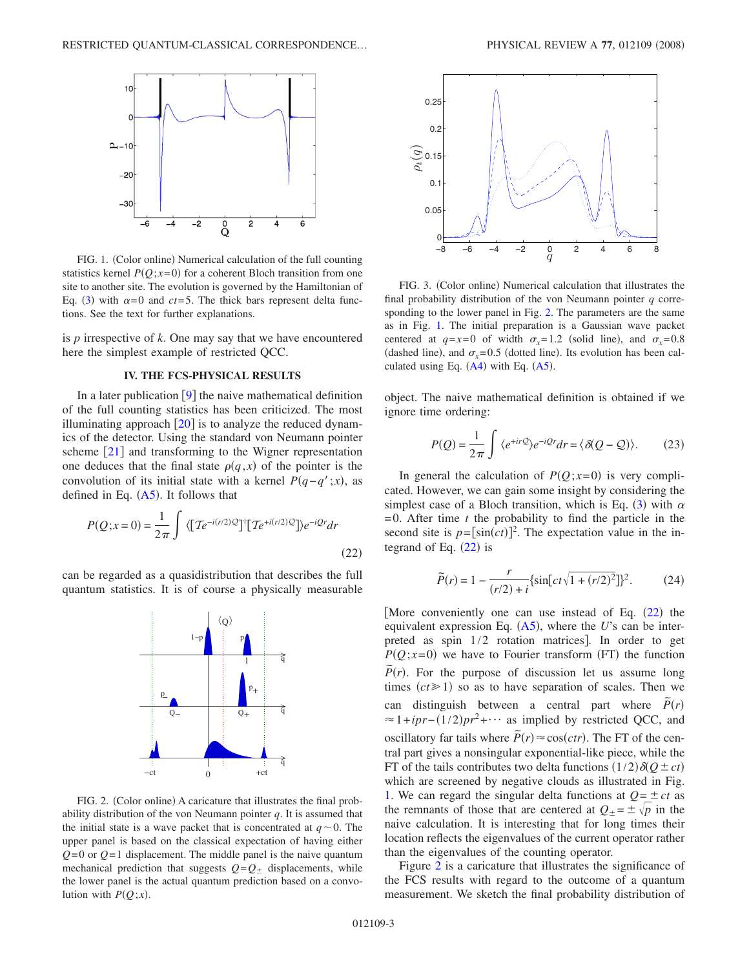<span id="page-2-1"></span>

FIG. 1. (Color online) Numerical calculation of the full counting statistics kernel  $P(Q; x=0)$  for a coherent Bloch transition from one site to another site. The evolution is governed by the Hamiltonian of Eq. ([3](#page-0-2)) with  $\alpha = 0$  and  $ct = 5$ . The thick bars represent delta functions. See the text for further explanations.

is *p* irrespective of *k*. One may say that we have encountered here the simplest example of restricted QCC.

### **IV. THE FCS-PHYSICAL RESULTS**

In a later publication  $[9]$  $[9]$  $[9]$  the naive mathematical definition of the full counting statistics has been criticized. The most illuminating approach  $[20]$  $[20]$  $[20]$  is to analyze the reduced dynamics of the detector. Using the standard von Neumann pointer scheme  $\lceil 21 \rceil$  $\lceil 21 \rceil$  $\lceil 21 \rceil$  and transforming to the Wigner representation one deduces that the final state  $\rho(q, x)$  of the pointer is the convolution of its initial state with a kernel  $P(q - q'; x)$ , as defined in Eq.  $(A5)$  $(A5)$  $(A5)$ . It follows that

<span id="page-2-0"></span>
$$
P(Q;x=0) = \frac{1}{2\pi} \int \langle \left[ T e^{-i(r/2)Q} \right]^{\dagger} \left[ T e^{+i(r/2)Q} \right] \rangle e^{-iQr} dr \tag{22}
$$

<span id="page-2-2"></span>can be regarded as a quasidistribution that describes the full quantum statistics. It is of course a physically measurable



FIG. 2. (Color online) A caricature that illustrates the final probability distribution of the von Neumann pointer *q*. It is assumed that the initial state is a wave packet that is concentrated at  $q \sim 0$ . The upper panel is based on the classical expectation of having either *Q*=0 or *Q*=1 displacement. The middle panel is the naive quantum mechanical prediction that suggests  $Q = Q_{\pm}$  displacements, while the lower panel is the actual quantum prediction based on a convolution with  $P(Q; x)$ .

<span id="page-2-3"></span>

FIG. 3. (Color online) Numerical calculation that illustrates the final probability distribution of the von Neumann pointer *q* corresponding to the lower panel in Fig. [2.](#page-2-2) The parameters are the same as in Fig. [1.](#page-2-1) The initial preparation is a Gaussian wave packet centered at  $q=x=0$  of width  $\sigma_x=1.2$  (solid line), and  $\sigma_x=0.8$ (dashed line), and  $\sigma_x = 0.5$  (dotted line). Its evolution has been calculated using Eq.  $(A4)$  $(A4)$  $(A4)$  with Eq.  $(A5)$  $(A5)$  $(A5)$ .

object. The naive mathematical definition is obtained if we ignore time ordering:

$$
P(Q) = \frac{1}{2\pi} \int \langle e^{+irQ} \rangle e^{-iQr} dr = \langle \delta(Q - Q) \rangle.
$$
 (23)

In general the calculation of  $P(Q; x=0)$  is very complicated. However, we can gain some insight by considering the simplest case of a Bloch transition, which is Eq. ([3](#page-0-2)) with  $\alpha$  $=0$ . After time *t* the probability to find the particle in the second site is  $p = [\sin(ct)]^2$ . The expectation value in the integrand of Eq.  $(22)$  $(22)$  $(22)$  is

$$
\widetilde{P}(r) = 1 - \frac{r}{(r/2) + i} \{ \sin\left[ ct\sqrt{1 + (r/2)^2} \right] \}^2.
$$
 (24)

[More conveniently one can use instead of Eq.  $(22)$  $(22)$  $(22)$  the equivalent expression Eq. ([A5](#page-5-15)), where the *U*'s can be interpreted as spin  $1/2$  rotation matrices]. In order to get  $P(Q; x=0)$  we have to Fourier transform (FT) the function  $\widetilde{P}(r)$ . For the purpose of discussion let us assume long times  $(ct \ge 1)$  so as to have separation of scales. Then we can distinguish between a central part where  $\tilde{P}(r)$  $\approx 1 + ipr - (1/2)pr^2 + \cdots$  as implied by restricted QCC, and  $\overline{P}(r) \approx \cos(ctr)$ . The FT of the central part gives a nonsingular exponential-like piece, while the FT of the tails contributes two delta functions  $(1/2)\delta(Q \pm ct)$ which are screened by negative clouds as illustrated in Fig. [1.](#page-2-1) We can regard the singular delta functions at  $Q = \pm ct$  as the remnants of those that are centered at  $Q_{\pm} = \pm \sqrt{p}$  in the naive calculation. It is interesting that for long times their location reflects the eigenvalues of the current operator rather than the eigenvalues of the counting operator.

Figure [2](#page-2-2) is a caricature that illustrates the significance of the FCS results with regard to the outcome of a quantum measurement. We sketch the final probability distribution of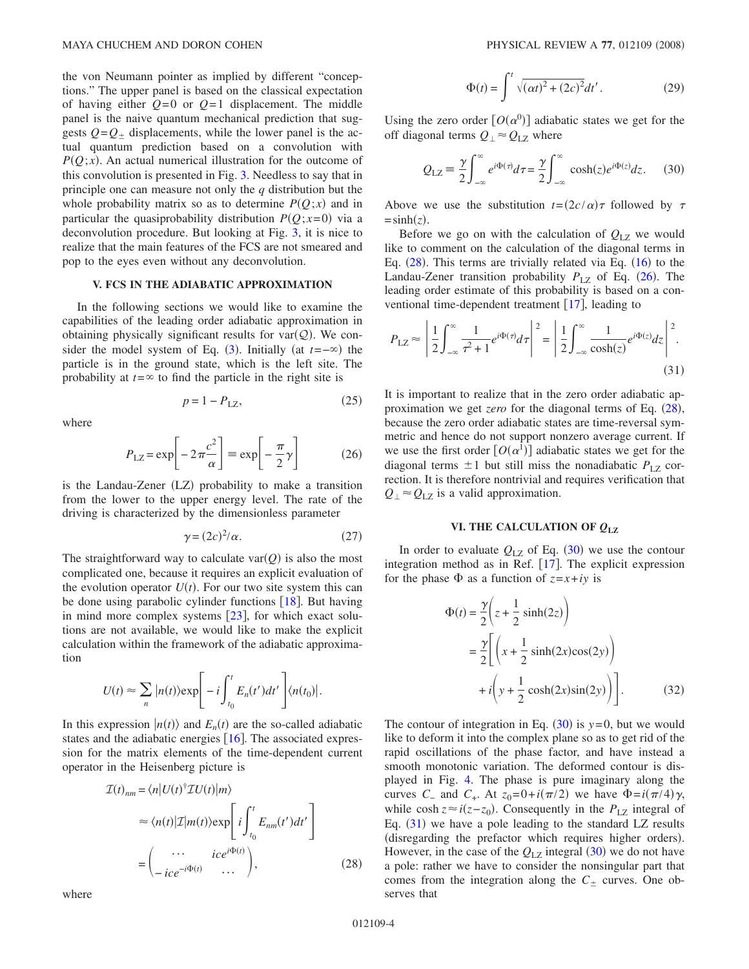the von Neumann pointer as implied by different "conceptions." The upper panel is based on the classical expectation of having either  $Q=0$  or  $Q=1$  displacement. The middle panel is the naive quantum mechanical prediction that suggests  $Q = Q_{\pm}$  displacements, while the lower panel is the actual quantum prediction based on a convolution with  $P(Q; x)$ . An actual numerical illustration for the outcome of this convolution is presented in Fig. [3.](#page-2-3) Needless to say that in principle one can measure not only the *q* distribution but the whole probability matrix so as to determine  $P(Q; x)$  and in particular the quasiprobability distribution  $P(Q; x=0)$  via a deconvolution procedure. But looking at Fig. [3,](#page-2-3) it is nice to realize that the main features of the FCS are not smeared and pop to the eyes even without any deconvolution.

#### **V. FCS IN THE ADIABATIC APPROXIMATION**

In the following sections we would like to examine the capabilities of the leading order adiabatic approximation in obtaining physically significant results for  $var(Q)$ . We con-sider the model system of Eq. ([3](#page-0-2)). Initially (at  $t = -\infty$ ) the particle is in the ground state, which is the left site. The probability at  $t = \infty$  to find the particle in the right site is

$$
p = 1 - P_{\text{LZ}},\tag{25}
$$

<span id="page-3-1"></span>where

$$
P_{\text{LZ}} = \exp\left[-2\pi \frac{c^2}{\alpha}\right] \equiv \exp\left[-\frac{\pi}{2}\gamma\right] \tag{26}
$$

is the Landau-Zener (LZ) probability to make a transition from the lower to the upper energy level. The rate of the driving is characterized by the dimensionless parameter

$$
\gamma = (2c)^2/\alpha. \tag{27}
$$

The straightforward way to calculate  $\text{var}(Q)$  is also the most complicated one, because it requires an explicit evaluation of the evolution operator  $U(t)$ . For our two site system this can be done using parabolic cylinder functions  $[18]$  $[18]$  $[18]$ . But having in mind more complex systems  $|23|$  $|23|$  $|23|$ , for which exact solutions are not available, we would like to make the explicit calculation within the framework of the adiabatic approximation

$$
U(t) \approx \sum_{n} |n(t)\rangle \exp\Biggl[-i \int_{t_0}^{t} E_n(t') dt'\Biggr] \langle n(t_0)|.
$$

In this expression  $|n(t)\rangle$  and  $E_n(t)$  are the so-called adiabatic states and the adiabatic energies  $[16]$  $[16]$  $[16]$ . The associated expression for the matrix elements of the time-dependent current operator in the Heisenberg picture is

<span id="page-3-0"></span>
$$
\mathcal{I}(t)_{nm} = \langle n|U(t)^{\dagger} \mathcal{I} U(t)|m\rangle
$$

$$
\approx \langle n(t)|\mathcal{I}|m(t)\rangle \exp\left[i\int_{t_0}^t E_{nm}(t')dt'\right]
$$

$$
= \begin{pmatrix} \cdots & ice^{i\Phi(t)} \\ -ice^{-i\Phi(t)} & \cdots \end{pmatrix},
$$
(28)

where

$$
\Phi(t) = \int^{t} \sqrt{(\alpha t)^{2} + (2c)^{2}} dt'.
$$
 (29)

<span id="page-3-2"></span>Using the zero order  $[O(\alpha^0)]$  adiabatic states we get for the off diagonal terms  $Q_1 \approx Q_{1Z}$  where

$$
Q_{\text{LZ}} = \frac{\gamma}{2} \int_{-\infty}^{\infty} e^{i\Phi(\tau)} d\tau = \frac{\gamma}{2} \int_{-\infty}^{\infty} \cosh(z) e^{i\Phi(z)} dz. \tag{30}
$$

Above we use the substitution  $t = (2c/\alpha)\tau$  followed by  $\tau$  $=$ sinh(z).

Before we go on with the calculation of  $Q_{1Z}$  we would like to comment on the calculation of the diagonal terms in Eq.  $(28)$  $(28)$  $(28)$ . This terms are trivially related via Eq.  $(16)$  $(16)$  $(16)$  to the Landau-Zener transition probability  $P_{\text{LZ}}$  of Eq. ([26](#page-3-1)). The leading order estimate of this probability is based on a conventional time-dependent treatment  $[17]$  $[17]$  $[17]$ , leading to

<span id="page-3-3"></span>
$$
P_{\text{LZ}} \approx \left| \frac{1}{2} \int_{-\infty}^{\infty} \frac{1}{\tau^2 + 1} e^{i\Phi(\tau)} d\tau \right|^2 = \left| \frac{1}{2} \int_{-\infty}^{\infty} \frac{1}{\cosh(z)} e^{i\Phi(z)} dz \right|^2.
$$
\n(31)

It is important to realize that in the zero order adiabatic approximation we get *zero* for the diagonal terms of Eq. ([28](#page-3-0)), because the zero order adiabatic states are time-reversal symmetric and hence do not support nonzero average current. If we use the first order  $[O(\alpha^1)]$  adiabatic states we get for the diagonal terms  $\pm 1$  but still miss the nonadiabatic  $P_{\text{LZ}}$  correction. It is therefore nontrivial and requires verification that  $Q_{\perp} \approx Q_{\text{LZ}}$  is a valid approximation.

#### **VI. THE CALCULATION OF** *Q***LZ**

In order to evaluate  $Q_{LZ}$  of Eq.  $(30)$  $(30)$  $(30)$  we use the contour integration method as in Ref.  $[17]$  $[17]$  $[17]$ . The explicit expression for the phase  $\Phi$  as a function of  $z = x + iy$  is

$$
\Phi(t) = \frac{\gamma}{2} \left( z + \frac{1}{2} \sinh(2z) \right)
$$
  
= 
$$
\frac{\gamma}{2} \left[ \left( x + \frac{1}{2} \sinh(2x) \cos(2y) \right) + i \left( y + \frac{1}{2} \cosh(2x) \sin(2y) \right) \right].
$$
 (32)

The contour of integration in Eq.  $(30)$  $(30)$  $(30)$  is  $y=0$ , but we would like to deform it into the complex plane so as to get rid of the rapid oscillations of the phase factor, and have instead a smooth monotonic variation. The deformed contour is displayed in Fig. [4.](#page-4-0) The phase is pure imaginary along the curves *C*<sub>−</sub> and *C*<sub>+</sub>. At  $z_0=0+i(\pi/2)$  we have  $\Phi=i(\pi/4)\gamma$ , while cosh  $z \approx i(z - z_0)$ . Consequently in the *P*<sub>LZ</sub> integral of Eq.  $(31)$  $(31)$  $(31)$  we have a pole leading to the standard LZ results (disregarding the prefactor which requires higher orders). However, in the case of the  $Q_{\text{LZ}}$  integral ([30](#page-3-2)) we do not have a pole: rather we have to consider the nonsingular part that comes from the integration along the  $C_{\pm}$  curves. One observes that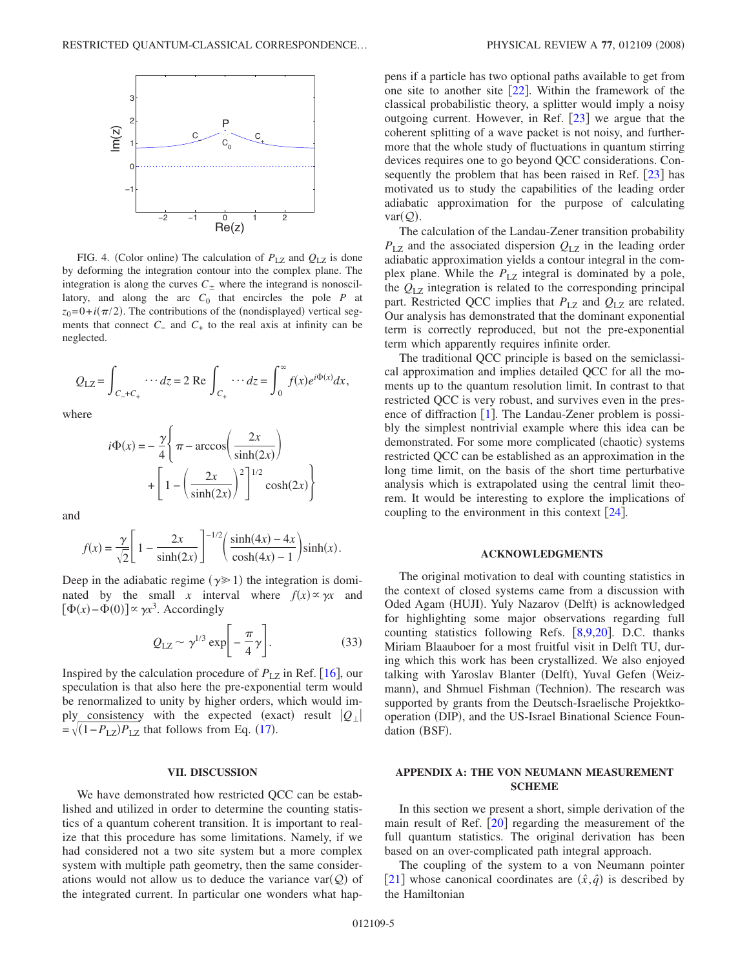<span id="page-4-0"></span>

FIG. 4. (Color online) The calculation of  $P_{\text{LZ}}$  and  $Q_{\text{LZ}}$  is done by deforming the integration contour into the complex plane. The integration is along the curves  $C_{\pm}$  where the integrand is nonoscillatory, and along the arc  $C_0$  that encircles the pole  $P$  at  $z_0 = 0 + i(\pi/2)$ . The contributions of the (nondisplayed) vertical segments that connect  $C_$  and  $C_+$  to the real axis at infinity can be neglected.

$$
Q_{\rm LZ} = \int_{C_{-}+C_{+}} \cdots dz = 2 \text{ Re } \int_{C_{+}} \cdots dz = \int_{0}^{\infty} f(x)e^{i\Phi(x)}dx,
$$

where

$$
i\Phi(x) = -\frac{\gamma}{4} \left\{ \pi - \arccos\left(\frac{2x}{\sinh(2x)}\right) + \left[1 - \left(\frac{2x}{\sinh(2x)}\right)^2\right]^{1/2} \cosh(2x) \right\}
$$

and

$$
f(x) = \frac{\gamma}{\sqrt{2}} \left[ 1 - \frac{2x}{\sinh(2x)} \right]^{-1/2} \left( \frac{\sinh(4x) - 4x}{\cosh(4x) - 1} \right) \sinh(x).
$$

Deep in the adiabatic regime ( $\gamma \geq 1$ ) the integration is dominated by the small *x* interval where  $f(x) \propto \gamma x$  and  $[\Phi(x)-\Phi(0)] \propto \gamma x^3$ . Accordingly

$$
Q_{\text{LZ}} \sim \gamma^{1/3} \exp\biggl[-\frac{\pi}{4}\gamma\biggr].\tag{33}
$$

Inspired by the calculation procedure of  $P_{1Z}$  in Ref. [[16](#page-5-19)], our speculation is that also here the pre-exponential term would be renormalized to unity by higher orders, which would imply consistency with the expected (exact) result  $|Q_{\perp}|$  $=\sqrt{(1-P_{LZ})P_{LZ}}$  that follows from Eq. ([17](#page-1-4)).

#### **VII. DISCUSSION**

We have demonstrated how restricted QCC can be established and utilized in order to determine the counting statistics of a quantum coherent transition. It is important to realize that this procedure has some limitations. Namely, if we had considered not a two site system but a more complex system with multiple path geometry, then the same considerations would not allow us to deduce the variance  $\text{var}(\mathcal{Q})$  of the integrated current. In particular one wonders what happens if a particle has two optional paths available to get from one site to another site  $[22]$  $[22]$  $[22]$ . Within the framework of the classical probabilistic theory, a splitter would imply a noisy outgoing current. However, in Ref.  $\lceil 23 \rceil$  $\lceil 23 \rceil$  $\lceil 23 \rceil$  we argue that the coherent splitting of a wave packet is not noisy, and furthermore that the whole study of fluctuations in quantum stirring devices requires one to go beyond QCC considerations. Consequently the problem that has been raised in Ref.  $\lceil 23 \rceil$  $\lceil 23 \rceil$  $\lceil 23 \rceil$  has motivated us to study the capabilities of the leading order adiabatic approximation for the purpose of calculating  $var(Q)$ .

The calculation of the Landau-Zener transition probability  $P_{\text{LZ}}$  and the associated dispersion  $Q_{\text{LZ}}$  in the leading order adiabatic approximation yields a contour integral in the complex plane. While the  $P_{LZ}$  integral is dominated by a pole, the *Q*LZ integration is related to the corresponding principal part. Restricted QCC implies that  $P_{\text{LZ}}$  and  $Q_{\text{LZ}}$  are related. Our analysis has demonstrated that the dominant exponential term is correctly reproduced, but not the pre-exponential term which apparently requires infinite order.

The traditional QCC principle is based on the semiclassical approximation and implies detailed QCC for all the moments up to the quantum resolution limit. In contrast to that restricted QCC is very robust, and survives even in the presence of diffraction  $[1]$  $[1]$  $[1]$ . The Landau-Zener problem is possibly the simplest nontrivial example where this idea can be demonstrated. For some more complicated (chaotic) systems restricted QCC can be established as an approximation in the long time limit, on the basis of the short time perturbative analysis which is extrapolated using the central limit theorem. It would be interesting to explore the implications of coupling to the environment in this context  $\left| \frac{24}{1} \right|$  $\left| \frac{24}{1} \right|$  $\left| \frac{24}{1} \right|$ .

#### **ACKNOWLEDGMENTS**

The original motivation to deal with counting statistics in the context of closed systems came from a discussion with Oded Agam (HUJI). Yuly Nazarov (Delft) is acknowledged for highlighting some major observations regarding full counting statistics following Refs.  $[8,9,20]$  $[8,9,20]$  $[8,9,20]$  $[8,9,20]$  $[8,9,20]$ . D.C. thanks Miriam Blaauboer for a most fruitful visit in Delft TU, during which this work has been crystallized. We also enjoyed talking with Yaroslav Blanter (Delft), Yuval Gefen (Weizmann), and Shmuel Fishman (Technion). The research was supported by grants from the Deutsch-Israelische Projektkooperation (DIP), and the US-Israel Binational Science Foundation (BSF).

### **APPENDIX A: THE VON NEUMANN MEASUREMENT SCHEME**

In this section we present a short, simple derivation of the main result of Ref.  $\lceil 20 \rceil$  $\lceil 20 \rceil$  $\lceil 20 \rceil$  regarding the measurement of the full quantum statistics. The original derivation has been based on an over-complicated path integral approach.

The coupling of the system to a von Neumann pointer [[21](#page-5-14)] whose canonical coordinates are  $(\hat{x}, \hat{q})$  is described by the Hamiltonian